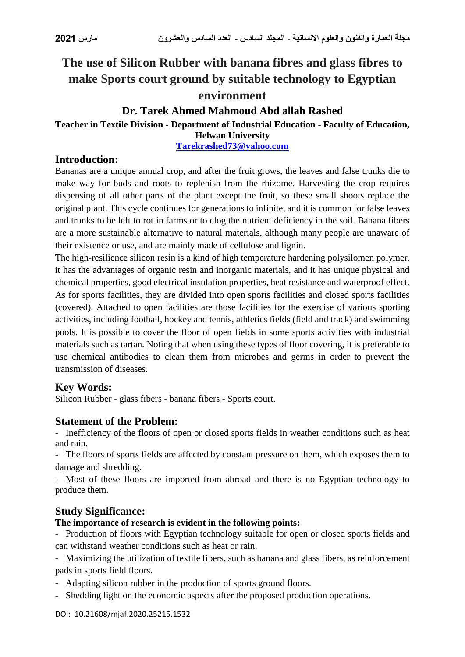# **The use of Silicon Rubber with banana fibres and glass fibres to make Sports court ground by suitable technology to Egyptian environment**

# **Dr. Tarek Ahmed Mahmoud Abd allah Rashed**

# **Teacher in Textile Division - Department of Industrial Education - Faculty of Education,**

**Helwan University**

**[Tarekrashed73@yahoo.com](mailto:Tarekrashed73@yahoo.com)**

#### **Introduction:**

Bananas are a unique annual crop, and after the fruit grows, the leaves and false trunks die to make way for buds and roots to replenish from the rhizome. Harvesting the crop requires dispensing of all other parts of the plant except the fruit, so these small shoots replace the original plant. This cycle continues for generations to infinite, and it is common for false leaves and trunks to be left to rot in farms or to clog the nutrient deficiency in the soil. Banana fibers are a more sustainable alternative to natural materials, although many people are unaware of their existence or use, and are mainly made of cellulose and lignin.

The high-resilience silicon resin is a kind of high temperature hardening polysilomen polymer, it has the advantages of organic resin and inorganic materials, and it has unique physical and chemical properties, good electrical insulation properties, heat resistance and waterproof effect. As for sports facilities, they are divided into open sports facilities and closed sports facilities (covered). Attached to open facilities are those facilities for the exercise of various sporting activities, including football, hockey and tennis, athletics fields (field and track) and swimming pools. It is possible to cover the floor of open fields in some sports activities with industrial materials such as tartan. Noting that when using these types of floor covering, it is preferable to use chemical antibodies to clean them from microbes and germs in order to prevent the transmission of diseases.

# **Key Words:**

Silicon Rubber - glass fibers - banana fibers - Sports court.

# **Statement of the Problem:**

- Inefficiency of the floors of open or closed sports fields in weather conditions such as heat and rain.

- The floors of sports fields are affected by constant pressure on them, which exposes them to damage and shredding.

- Most of these floors are imported from abroad and there is no Egyptian technology to produce them.

# **Study Significance:**

#### **The importance of research is evident in the following points:**

- Production of floors with Egyptian technology suitable for open or closed sports fields and can withstand weather conditions such as heat or rain.

- Maximizing the utilization of textile fibers, such as banana and glass fibers, as reinforcement pads in sports field floors.

- Adapting silicon rubber in the production of sports ground floors.
- Shedding light on the economic aspects after the proposed production operations.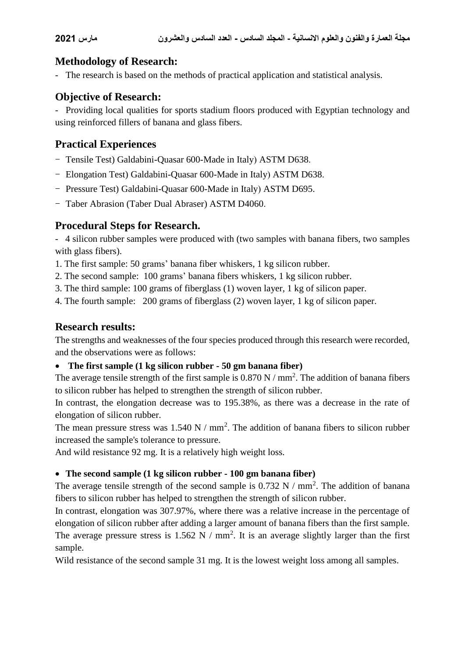# **Methodology of Research:**

- The research is based on the methods of practical application and statistical analysis.

# **Objective of Research:**

- Providing local qualities for sports stadium floors produced with Egyptian technology and using reinforced fillers of banana and glass fibers.

# **Practical Experiences**

- Tensile Test) Galdabini-Ouasar 600-Made in Italy) ASTM D638.
- Elongation Test) Galdabini-Quasar 600-Made in Italy) ASTM D638.
- Pressure Test) Galdabini-Quasar 600-Made in Italy) ASTM D695.
- Taber Abrasion (Taber Dual Abraser) ASTM D4060.

# **Procedural Steps for Research.**

- 4 silicon rubber samples were produced with (two samples with banana fibers, two samples with glass fibers).

1. The first sample: 50 grams' banana fiber whiskers, 1 kg silicon rubber.

2. The second sample: 100 grams' banana fibers whiskers, 1 kg silicon rubber.

3. The third sample: 100 grams of fiberglass (1) woven layer, 1 kg of silicon paper.

4. The fourth sample: 200 grams of fiberglass (2) woven layer, 1 kg of silicon paper.

# **Research results:**

The strengths and weaknesses of the four species produced through this research were recorded, and the observations were as follows:

#### **The first sample (1 kg silicon rubber - 50 gm banana fiber)**

The average tensile strength of the first sample is  $0.870 \text{ N} / \text{mm}^2$ . The addition of banana fibers to silicon rubber has helped to strengthen the strength of silicon rubber.

In contrast, the elongation decrease was to 195.38%, as there was a decrease in the rate of elongation of silicon rubber.

The mean pressure stress was  $1.540 \text{ N} / \text{mm}^2$ . The addition of banana fibers to silicon rubber increased the sample's tolerance to pressure.

And wild resistance 92 mg. It is a relatively high weight loss.

#### **The second sample (1 kg silicon rubber - 100 gm banana fiber)**

The average tensile strength of the second sample is  $0.732 \text{ N}$  / mm<sup>2</sup>. The addition of banana fibers to silicon rubber has helped to strengthen the strength of silicon rubber.

In contrast, elongation was 307.97%, where there was a relative increase in the percentage of elongation of silicon rubber after adding a larger amount of banana fibers than the first sample. The average pressure stress is  $1.562 \text{ N} / \text{mm}^2$ . It is an average slightly larger than the first sample.

Wild resistance of the second sample 31 mg. It is the lowest weight loss among all samples.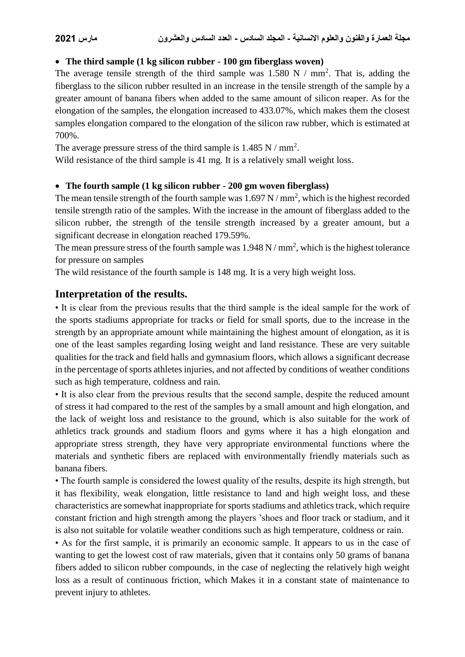#### **The third sample (1 kg silicon rubber - 100 gm fiberglass woven)**

The average tensile strength of the third sample was  $1.580 \text{ N}$  / mm<sup>2</sup>. That is, adding the fiberglass to the silicon rubber resulted in an increase in the tensile strength of the sample by a greater amount of banana fibers when added to the same amount of silicon reaper. As for the elongation of the samples, the elongation increased to 433.07%, which makes them the closest samples elongation compared to the elongation of the silicon raw rubber, which is estimated at 700%.

The average pressure stress of the third sample is  $1.485$  N / mm<sup>2</sup>.

Wild resistance of the third sample is 41 mg. It is a relatively small weight loss.

#### **The fourth sample (1 kg silicon rubber - 200 gm woven fiberglass)**

The mean tensile strength of the fourth sample was  $1.697 \text{ N/mm}^2$ , which is the highest recorded tensile strength ratio of the samples. With the increase in the amount of fiberglass added to the silicon rubber, the strength of the tensile strength increased by a greater amount, but a significant decrease in elongation reached 179.59%.

The mean pressure stress of the fourth sample was  $1.948 \text{ N/mm}^2$ , which is the highest tolerance for pressure on samples

The wild resistance of the fourth sample is 148 mg. It is a very high weight loss.

#### **Interpretation of the results.**

• It is clear from the previous results that the third sample is the ideal sample for the work of the sports stadiums appropriate for tracks or field for small sports, due to the increase in the strength by an appropriate amount while maintaining the highest amount of elongation, as it is one of the least samples regarding losing weight and land resistance. These are very suitable qualities for the track and field halls and gymnasium floors, which allows a significant decrease in the percentage of sports athletes injuries, and not affected by conditions of weather conditions such as high temperature, coldness and rain.

• It is also clear from the previous results that the second sample, despite the reduced amount of stress it had compared to the rest of the samples by a small amount and high elongation, and the lack of weight loss and resistance to the ground, which is also suitable for the work of athletics track grounds and stadium floors and gyms where it has a high elongation and appropriate stress strength, they have very appropriate environmental functions where the materials and synthetic fibers are replaced with environmentally friendly materials such as banana fibers.

• The fourth sample is considered the lowest quality of the results, despite its high strength, but it has flexibility, weak elongation, little resistance to land and high weight loss, and these characteristics are somewhat inappropriate for sports stadiums and athletics track, which require constant friction and high strength among the players 'shoes and floor track or stadium, and it is also not suitable for volatile weather conditions such as high temperature, coldness or rain.

• As for the first sample, it is primarily an economic sample. It appears to us in the case of wanting to get the lowest cost of raw materials, given that it contains only 50 grams of banana fibers added to silicon rubber compounds, in the case of neglecting the relatively high weight loss as a result of continuous friction, which Makes it in a constant state of maintenance to prevent injury to athletes.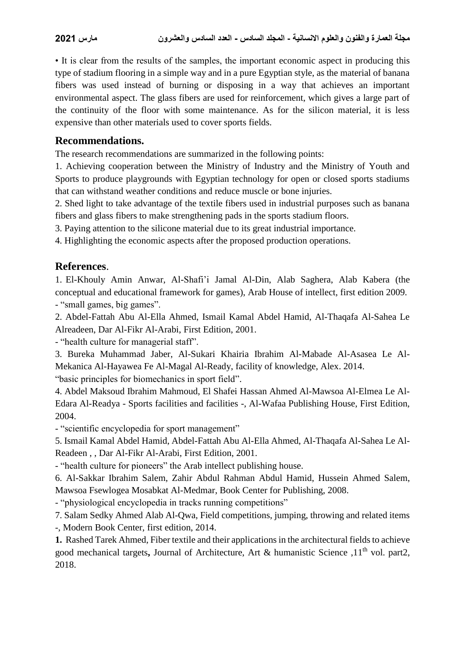• It is clear from the results of the samples, the important economic aspect in producing this type of stadium flooring in a simple way and in a pure Egyptian style, as the material of banana fibers was used instead of burning or disposing in a way that achieves an important environmental aspect. The glass fibers are used for reinforcement, which gives a large part of the continuity of the floor with some maintenance. As for the silicon material, it is less expensive than other materials used to cover sports fields.

#### **Recommendations.**

The research recommendations are summarized in the following points:

1. Achieving cooperation between the Ministry of Industry and the Ministry of Youth and Sports to produce playgrounds with Egyptian technology for open or closed sports stadiums that can withstand weather conditions and reduce muscle or bone injuries.

2. Shed light to take advantage of the textile fibers used in industrial purposes such as banana fibers and glass fibers to make strengthening pads in the sports stadium floors.

3. Paying attention to the silicone material due to its great industrial importance.

4. Highlighting the economic aspects after the proposed production operations.

# **References**.

1. El-Khouly Amin Anwar, Al-Shafi'i Jamal Al-Din, Alab Saghera, Alab Kabera (the conceptual and educational framework for games), Arab House of intellect, first edition 2009. - "small games, big games".

2. Abdel-Fattah Abu Al-Ella Ahmed, Ismail Kamal Abdel Hamid, Al-Thaqafa Al-Sahea Le Alreadeen, Dar Al-Fikr Al-Arabi, First Edition, 2001.

- "health culture for managerial staff".

3. Bureka Muhammad Jaber, Al-Sukari Khairia Ibrahim Al-Mabade Al-Asasea Le Al-Mekanica Al-Hayawea Fe Al-Magal Al-Ready, facility of knowledge, Alex. 2014. "basic principles for biomechanics in sport field".

4. Abdel Maksoud Ibrahim Mahmoud, El Shafei Hassan Ahmed Al-Mawsoa Al-Elmea Le Al-Edara Al-Readya - Sports facilities and facilities -, Al-Wafaa Publishing House, First Edition,

2004.

- "scientific encyclopedia for sport management"

5. Ismail Kamal Abdel Hamid, Abdel-Fattah Abu Al-Ella Ahmed, Al-Thaqafa Al-Sahea Le Al-Readeen , , Dar Al-Fikr Al-Arabi, First Edition, 2001.

- "health culture for pioneers" the Arab intellect publishing house.

6. Al-Sakkar Ibrahim Salem, Zahir Abdul Rahman Abdul Hamid, Hussein Ahmed Salem, Mawsoa Fsewlogea Mosabkat Al-Medmar, Book Center for Publishing, 2008.

- "physiological encyclopedia in tracks running competitions"

7. Salam Sedky Ahmed Alab Al-Qwa, Field competitions, jumping, throwing and related items

-, Modern Book Center, first edition, 2014.

**1.** Rashed Tarek Ahmed, Fiber textile and their applications in the architectural fields to achieve good mechanical targets, Journal of Architecture, Art & humanistic Science .11<sup>th</sup> vol. part2, 2018.